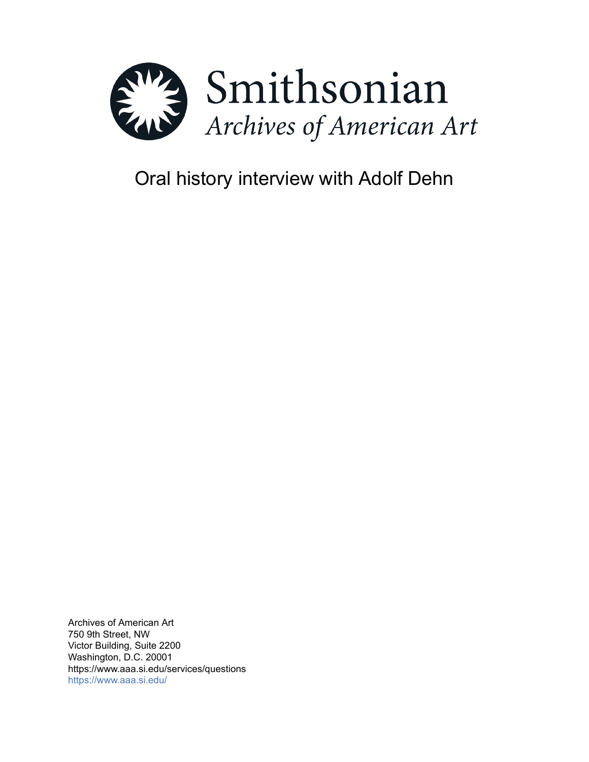

# Oral history interview with Adolf Dehn

Archives of American Art 750 9th Street, NW Victor Building, Suite 2200 Washington, D.C. 20001 https://www.aaa.si.edu/services/questions <https://www.aaa.si.edu/>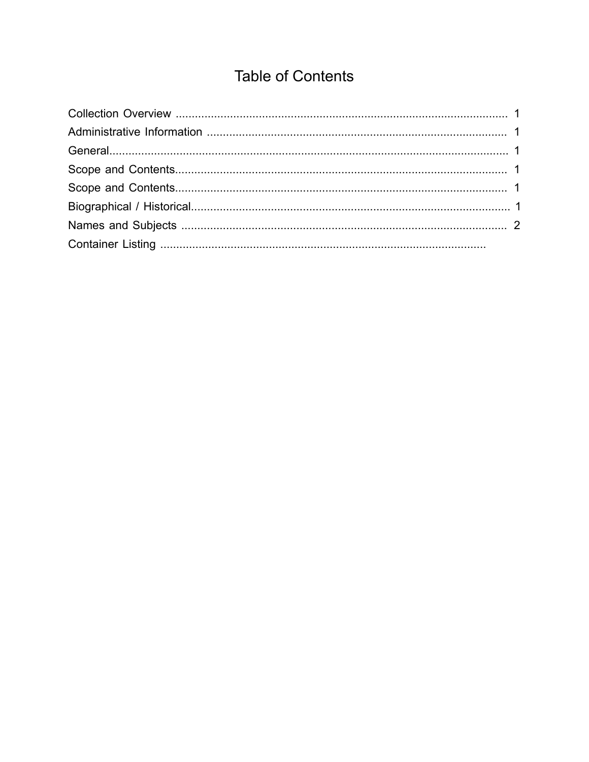# **Table of Contents**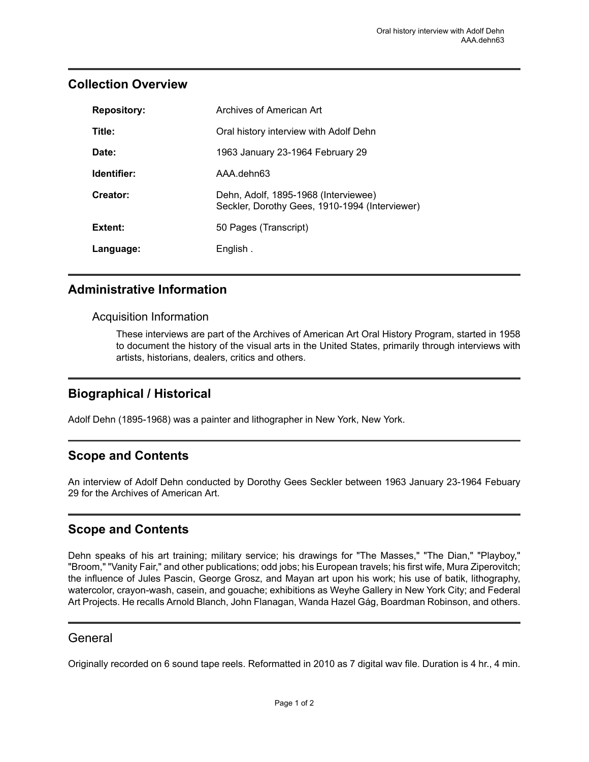#### <span id="page-2-0"></span>**Collection Overview**

| <b>Repository:</b> | Archives of American Art                                                               |
|--------------------|----------------------------------------------------------------------------------------|
| Title:             | Oral history interview with Adolf Dehn                                                 |
| Date:              | 1963 January 23-1964 February 29                                                       |
| Identifier:        | AAA dehn63                                                                             |
| Creator:           | Dehn, Adolf, 1895-1968 (Interviewee)<br>Seckler, Dorothy Gees, 1910-1994 (Interviewer) |
| Extent:            | 50 Pages (Transcript)                                                                  |
| Language:          | English.                                                                               |

# <span id="page-2-1"></span>**Administrative Information**

#### Acquisition Information

These interviews are part of the Archives of American Art Oral History Program, started in 1958 to document the history of the visual arts in the United States, primarily through interviews with artists, historians, dealers, critics and others.

# <span id="page-2-5"></span>**Biographical / Historical**

Adolf Dehn (1895-1968) was a painter and lithographer in New York, New York.

# <span id="page-2-3"></span>**Scope and Contents**

An interview of Adolf Dehn conducted by Dorothy Gees Seckler between 1963 January 23-1964 Febuary 29 for the Archives of American Art.

# <span id="page-2-4"></span>**Scope and Contents**

Dehn speaks of his art training; military service; his drawings for "The Masses," "The Dian," "Playboy," "Broom," "Vanity Fair," and other publications; odd jobs; his European travels; his first wife, Mura Ziperovitch; the influence of Jules Pascin, George Grosz, and Mayan art upon his work; his use of batik, lithography, watercolor, crayon-wash, casein, and gouache; exhibitions as Weyhe Gallery in New York City; and Federal Art Projects. He recalls Arnold Blanch, John Flanagan, Wanda Hazel Gág, Boardman Robinson, and others.

#### <span id="page-2-2"></span>General

Originally recorded on 6 sound tape reels. Reformatted in 2010 as 7 digital wav file. Duration is 4 hr., 4 min.